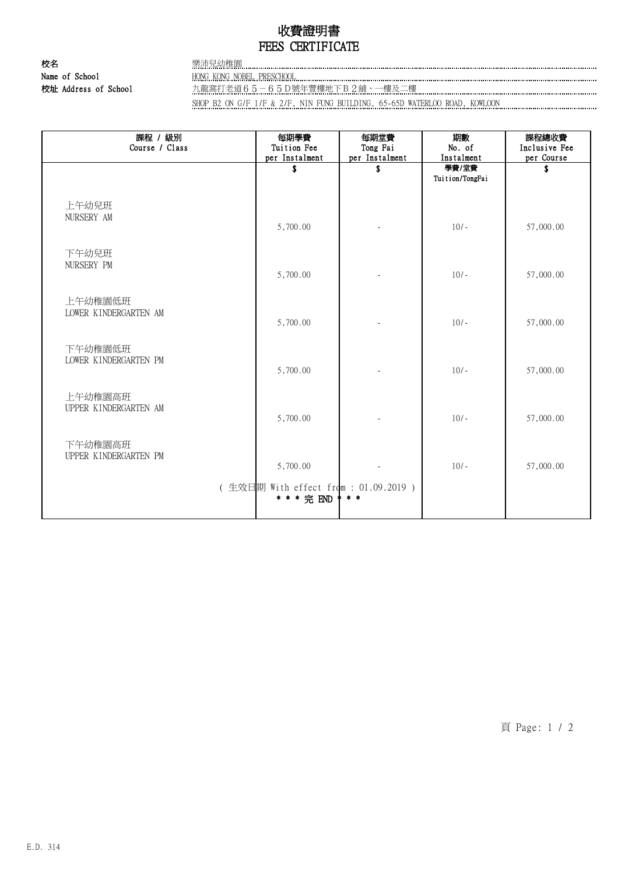## 收費證明書 FEES CERTIFICATE

校名 またま アンチュー 無流見幼稚園 Name of School HONG KONG NOBEL PRESCHOOL **EXAMPLE FRESCHOOL** HONG AND RESCHOOL CONGERGIA PRESCHOOL

校址 Address of School 九龍窩打老道65-65D號年豐樓地下B2舖、一樓及二樓

SHOP B2 ON G/F 1/F & 2/F, NIN FUNG BUILDING, 65-65D WATERLOO ROAD, KOWLOON

| 課程 / 級別<br>Course / Class        | 每期學費<br>Tuition Fee<br>per Instalment                               | 每期堂費<br>Tong Fai<br>per Instalment | 期數<br>No. of<br>Instalment | 課程總收費<br>Inclusive Fee<br>per Course |
|----------------------------------|---------------------------------------------------------------------|------------------------------------|----------------------------|--------------------------------------|
|                                  | \$                                                                  | \$                                 | 學費/堂費<br>Tuition/TongFai   | S                                    |
| 上午幼兒班<br>NURSERY AM              | 5,700.00                                                            |                                    | $10/-$                     | 57,000.00                            |
| 下午幼兒班<br>NURSERY PM              | 5,700.00                                                            |                                    | $10/-$                     | 57,000.00                            |
| 上午幼稚園低班<br>LOWER KINDERGARTEN AM | 5,700.00                                                            |                                    | $10/-$                     | 57,000.00                            |
| 下午幼稚園低班<br>LOWER KINDERGARTEN PM | 5,700.00                                                            |                                    | $10/-$                     | 57,000.00                            |
| 上午幼稚園高班<br>UPPER KINDERGARTEN AM | 5,700.00                                                            |                                    | $10/-$                     | 57,000.00                            |
| 下午幼稚園高班<br>UPPER KINDERGARTEN PM | 5,700.00                                                            |                                    | $10/-$                     | 57,000.00                            |
|                                  | (生效日 <mark>期 With effect fro</mark> m : 01.09.2019 )<br>* * * 完 END | $* *$                              |                            |                                      |

頁 Page: 1 / 2